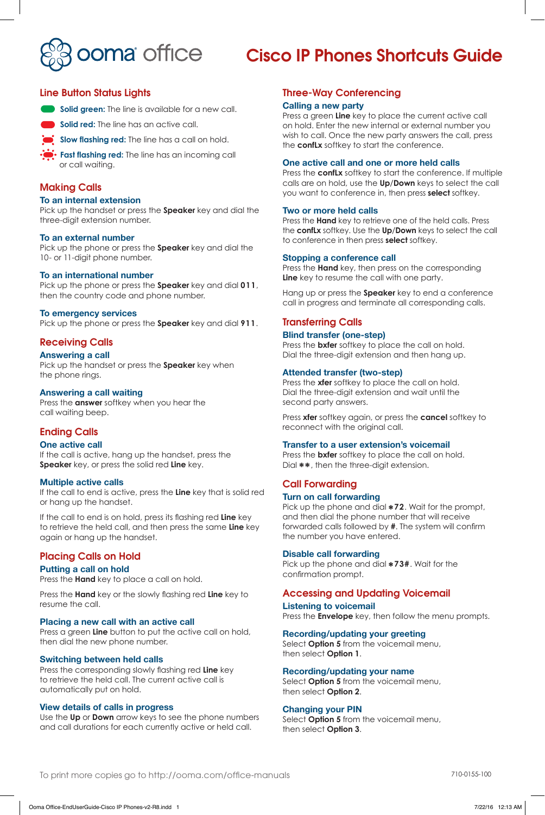

# Cisco IP Phones Shortcuts Guide

# Line Button Status Lights



**Solid red:** The line has an active call.



**Slow flashing red:** The line has a call on hold.

**Fast flashing red:** The line has an incoming call or call waiting.

# Making Calls

#### **To an internal extension**

Pick up the handset or press the **Speaker** key and dial the three-digit extension number.

#### **To an external number**

Pick up the phone or press the **Speaker** key and dial the 10- or 11-digit phone number.

#### **To an international number**

Pick up the phone or press the **Speaker** key and dial **011**, then the country code and phone number.

#### **To emergency services**

Pick up the phone or press the **Speaker** key and dial **911**.

# Receiving Calls

#### **Answering a call**

Pick up the handset or press the **Speaker** key when the phone rings.

#### **Answering a call waiting**

Press the **answer** softkey when you hear the call waiting beep.

# Ending Calls

#### **One active call**

If the call is active, hang up the handset, press the **Speaker** key, or press the solid red **Line** key.

#### **Multiple active calls**

If the call to end is active, press the **Line** key that is solid red or hang up the handset.

If the call to end is on hold, press its flashing red **Line** key to retrieve the held call, and then press the same **Line** key again or hang up the handset.

#### Placing Calls on Hold

#### **Putting a call on hold**

Press the **Hand** key to place a call on hold.

Press the **Hand** key or the slowly flashing red **Line** key to resume the call.

# **Placing a new call with an active call**

Press a green **Line** button to put the active call on hold, then dial the new phone number.

#### **Switching between held calls**

Press the corresponding slowly flashing red **Line** key to retrieve the held call. The current active call is automatically put on hold.

# **View details of calls in progress**

Use the **Up** or **Down** arrow keys to see the phone numbers and call durations for each currently active or held call.

# Three-Way Conferencing

#### **Calling a new party**

Press a green **Line** key to place the current active call on hold. Enter the new internal or external number you wish to call. Once the new party answers the call, press the **confLx** softkey to start the conference.

#### **One active call and one or more held calls**

Press the **confLx** softkey to start the conference. If multiple calls are on hold, use the **Up**/**Down** keys to select the call you want to conference in, then press **select** softkey.

#### **Two or more held calls**

Press the **Hand** key to retrieve one of the held calls. Press the **confLx** softkey. Use the **Up**/**Down** keys to select the call to conference in then press **select** softkey.

#### **Stopping a conference call**

Press the **Hand** key, then press on the corresponding **Line** key to resume the call with one party.

Hang up or press the **Speaker** key to end a conference call in progress and terminate all corresponding calls.

# Transferring Calls

# **Blind transfer (one-step)**

Press the **bxfer** softkey to place the call on hold. Dial the three-digit extension and then hang up.

# **Attended transfer (two-step)**

Press the **xfer** softkey to place the call on hold. Dial the three-digit extension and wait until the second party answers.

Press **xfer** softkey again, or press the **cancel** softkey to reconnect with the original call.

#### **Transfer to a user extension's voicemail**

Press the **bxfer** softkey to place the call on hold. Dial **\*\***, then the three-digit extension.

# Call Forwarding

# **Turn on call forwarding**

Pick up the phone and dial **\*72**. Wait for the prompt, and then dial the phone number that will receive forwarded calls followed by **#**. The system will confirm the number you have entered.

#### **Disable call forwarding**

Pick up the phone and dial **\*73#**. Wait for the confirmation prompt.

# Accessing and Updating Voicemail

**Listening to voicemail** Press the **Envelope** key, then follow the menu prompts.

#### **Recording/updating your greeting**

Select **Option 5** from the voicemail menu, then select **Option 1**.

#### **Recording/updating your name**

Select **Option 5** from the voicemail menu, then select **Option 2**.

#### **Changing your PIN**

Select **Option 5** from the voicemail menu, then select **Option 3**.